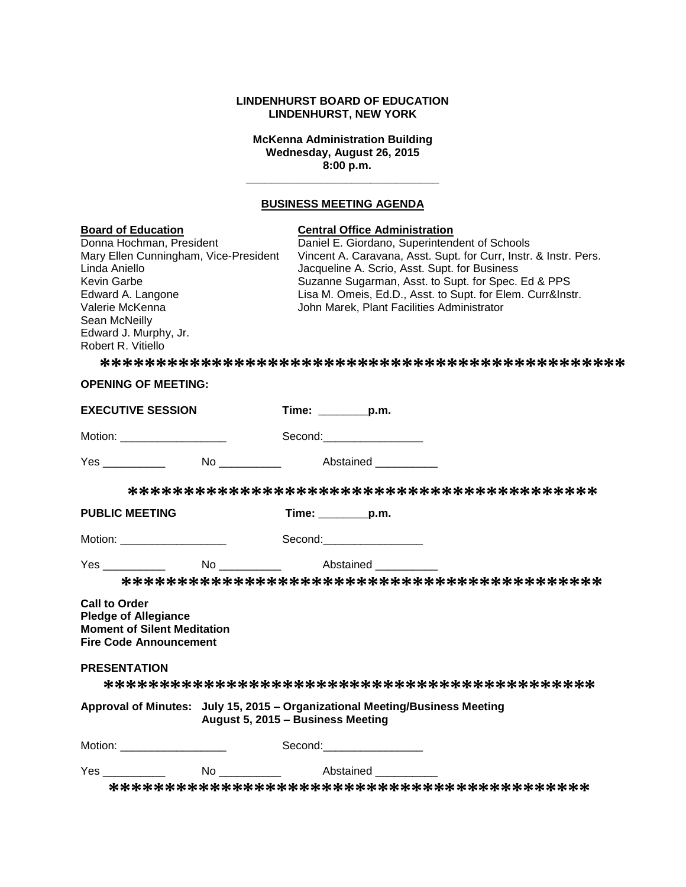### **LINDENHURST BOARD OF EDUCATION LINDENHURST, NEW YORK**

**McKenna Administration Building Wednesday, August 26, 2015 8:00 p.m.**

**\_\_\_\_\_\_\_\_\_\_\_\_\_\_\_\_\_\_\_\_\_\_\_\_\_\_\_\_\_\_\_**

# **BUSINESS MEETING AGENDA**

| <b>Board of Education</b><br>Donna Hochman, President<br>Mary Ellen Cunningham, Vice-President<br>Linda Aniello<br>Kevin Garbe<br>Edward A. Langone<br>Valerie McKenna<br>Sean McNeilly<br>Edward J. Murphy, Jr.<br>Robert R. Vitiello |                                       | <b>Central Office Administration</b><br>Daniel E. Giordano, Superintendent of Schools<br>Vincent A. Caravana, Asst. Supt. for Curr, Instr. & Instr. Pers.<br>Jacqueline A. Scrio, Asst. Supt. for Business<br>Suzanne Sugarman, Asst. to Supt. for Spec. Ed & PPS<br>Lisa M. Omeis, Ed.D., Asst. to Supt. for Elem. Curr&Instr.<br>John Marek, Plant Facilities Administrator |                                                                                                                                                                                                                               |  |
|----------------------------------------------------------------------------------------------------------------------------------------------------------------------------------------------------------------------------------------|---------------------------------------|-------------------------------------------------------------------------------------------------------------------------------------------------------------------------------------------------------------------------------------------------------------------------------------------------------------------------------------------------------------------------------|-------------------------------------------------------------------------------------------------------------------------------------------------------------------------------------------------------------------------------|--|
|                                                                                                                                                                                                                                        |                                       |                                                                                                                                                                                                                                                                                                                                                                               |                                                                                                                                                                                                                               |  |
| <b>OPENING OF MEETING:</b>                                                                                                                                                                                                             |                                       |                                                                                                                                                                                                                                                                                                                                                                               |                                                                                                                                                                                                                               |  |
| <b>EXECUTIVE SESSION</b>                                                                                                                                                                                                               |                                       | Time: _________p.m.                                                                                                                                                                                                                                                                                                                                                           |                                                                                                                                                                                                                               |  |
| Motion: _____________________                                                                                                                                                                                                          |                                       |                                                                                                                                                                                                                                                                                                                                                                               | Second: Second:                                                                                                                                                                                                               |  |
|                                                                                                                                                                                                                                        |                                       |                                                                                                                                                                                                                                                                                                                                                                               |                                                                                                                                                                                                                               |  |
|                                                                                                                                                                                                                                        |                                       |                                                                                                                                                                                                                                                                                                                                                                               |                                                                                                                                                                                                                               |  |
| <b>PUBLIC MEETING</b>                                                                                                                                                                                                                  |                                       | Time: p.m.                                                                                                                                                                                                                                                                                                                                                                    |                                                                                                                                                                                                                               |  |
| Motion: ______________________                                                                                                                                                                                                         |                                       |                                                                                                                                                                                                                                                                                                                                                                               | Second:___________________                                                                                                                                                                                                    |  |
| Yes ___________ No ________ Abstained ______                                                                                                                                                                                           |                                       |                                                                                                                                                                                                                                                                                                                                                                               |                                                                                                                                                                                                                               |  |
|                                                                                                                                                                                                                                        |                                       |                                                                                                                                                                                                                                                                                                                                                                               |                                                                                                                                                                                                                               |  |
| <b>Call to Order</b><br><b>Pledge of Allegiance</b><br><b>Moment of Silent Meditation</b><br><b>Fire Code Announcement</b>                                                                                                             |                                       |                                                                                                                                                                                                                                                                                                                                                                               |                                                                                                                                                                                                                               |  |
| <b>PRESENTATION</b>                                                                                                                                                                                                                    |                                       |                                                                                                                                                                                                                                                                                                                                                                               |                                                                                                                                                                                                                               |  |
|                                                                                                                                                                                                                                        |                                       |                                                                                                                                                                                                                                                                                                                                                                               |                                                                                                                                                                                                                               |  |
| Approval of Minutes: July 15, 2015 - Organizational Meeting/Business Meeting                                                                                                                                                           | August 5, 2015 - Business Meeting     |                                                                                                                                                                                                                                                                                                                                                                               |                                                                                                                                                                                                                               |  |
| Motion: _____________________                                                                                                                                                                                                          |                                       |                                                                                                                                                                                                                                                                                                                                                                               | Second: The Second Second Second Second Second Second Second Second Second Second Second Second Second Second Second Second Second Second Second Second Second Second Second Second Second Second Second Second Second Second |  |
| Yes <u>with the second second</u>                                                                                                                                                                                                      | No _____________ Abstained __________ |                                                                                                                                                                                                                                                                                                                                                                               |                                                                                                                                                                                                                               |  |
|                                                                                                                                                                                                                                        |                                       |                                                                                                                                                                                                                                                                                                                                                                               |                                                                                                                                                                                                                               |  |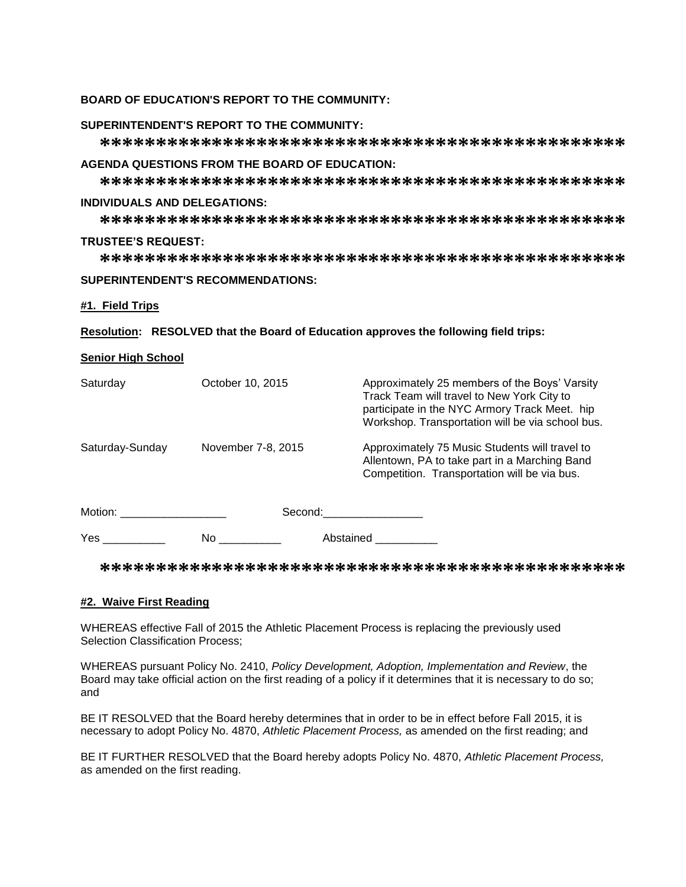### **BOARD OF EDUCATION'S REPORT TO THE COMMUNITY:**

#### **SUPERINTENDENT'S REPORT TO THE COMMUNITY:**

**\*\*\*\*\*\*\*\*\*\*\*\*\*\*\*\*\*\*\*\*\*\*\*\*\*\*\*\*\*\*\*\*\*\*\*\*\*\*\*\*\*\*\*\*\*\*\***

### **AGENDA QUESTIONS FROM THE BOARD OF EDUCATION:**

**\*\*\*\*\*\*\*\*\*\*\*\*\*\*\*\*\*\*\*\*\*\*\*\*\*\*\*\*\*\*\*\*\*\*\*\*\*\*\*\*\*\*\*\*\*\*\***

### **INDIVIDUALS AND DELEGATIONS:**

**\*\*\*\*\*\*\*\*\*\*\*\*\*\*\*\*\*\*\*\*\*\*\*\*\*\*\*\*\*\*\*\*\*\*\*\*\*\*\*\*\*\*\*\*\*\*\***

#### **TRUSTEE'S REQUEST:**

**\*\*\*\*\*\*\*\*\*\*\*\*\*\*\*\*\*\*\*\*\*\*\*\*\*\*\*\*\*\*\*\*\*\*\*\*\*\*\*\*\*\*\*\*\*\*\***

### **SUPERINTENDENT'S RECOMMENDATIONS:**

### **#1. Field Trips**

**Resolution: RESOLVED that the Board of Education approves the following field trips:**

### **Senior High School**

| Saturday              | October 10, 2015   | Approximately 25 members of the Boys' Varsity<br>Track Team will travel to New York City to<br>participate in the NYC Armory Track Meet. hip<br>Workshop. Transportation will be via school bus. |
|-----------------------|--------------------|--------------------------------------------------------------------------------------------------------------------------------------------------------------------------------------------------|
| Saturday-Sunday       | November 7-8, 2015 | Approximately 75 Music Students will travel to<br>Allentown, PA to take part in a Marching Band<br>Competition. Transportation will be via bus.                                                  |
| Motion: <b>Motion</b> | Second:            |                                                                                                                                                                                                  |
| <b>Yes</b>            | No                 | Abstained                                                                                                                                                                                        |

**\*\*\*\*\*\*\*\*\*\*\*\*\*\*\*\*\*\*\*\*\*\*\*\*\*\*\*\*\*\*\*\*\*\*\*\*\*\*\*\*\*\*\*\*\*\*\***

#### **#2. Waive First Reading**

WHEREAS effective Fall of 2015 the Athletic Placement Process is replacing the previously used Selection Classification Process;

WHEREAS pursuant Policy No. 2410, *Policy Development, Adoption, Implementation and Review*, the Board may take official action on the first reading of a policy if it determines that it is necessary to do so; and

BE IT RESOLVED that the Board hereby determines that in order to be in effect before Fall 2015, it is necessary to adopt Policy No. 4870, *Athletic Placement Process,* as amended on the first reading; and

BE IT FURTHER RESOLVED that the Board hereby adopts Policy No. 4870, *Athletic Placement Process,*  as amended on the first reading.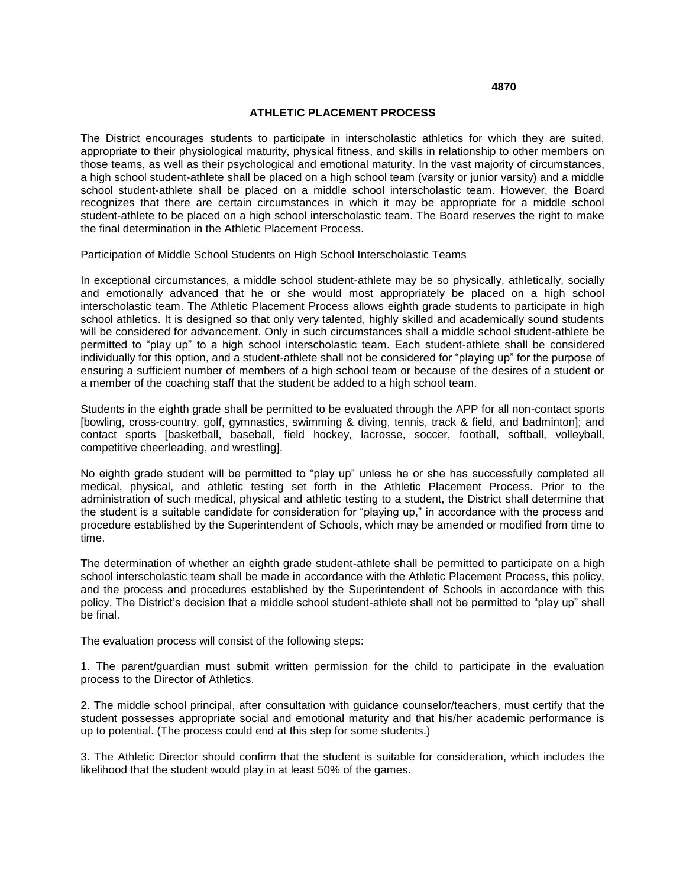#### **4870**

#### **ATHLETIC PLACEMENT PROCESS**

The District encourages students to participate in interscholastic athletics for which they are suited, appropriate to their physiological maturity, physical fitness, and skills in relationship to other members on those teams, as well as their psychological and emotional maturity. In the vast majority of circumstances, a high school student-athlete shall be placed on a high school team (varsity or junior varsity) and a middle school student-athlete shall be placed on a middle school interscholastic team. However, the Board recognizes that there are certain circumstances in which it may be appropriate for a middle school student-athlete to be placed on a high school interscholastic team. The Board reserves the right to make the final determination in the Athletic Placement Process.

#### Participation of Middle School Students on High School Interscholastic Teams

In exceptional circumstances, a middle school student-athlete may be so physically, athletically, socially and emotionally advanced that he or she would most appropriately be placed on a high school interscholastic team. The Athletic Placement Process allows eighth grade students to participate in high school athletics. It is designed so that only very talented, highly skilled and academically sound students will be considered for advancement. Only in such circumstances shall a middle school student-athlete be permitted to "play up" to a high school interscholastic team. Each student-athlete shall be considered individually for this option, and a student-athlete shall not be considered for "playing up" for the purpose of ensuring a sufficient number of members of a high school team or because of the desires of a student or a member of the coaching staff that the student be added to a high school team.

Students in the eighth grade shall be permitted to be evaluated through the APP for all non-contact sports [bowling, cross-country, golf, gymnastics, swimming & diving, tennis, track & field, and badminton]; and contact sports [basketball, baseball, field hockey, lacrosse, soccer, football, softball, volleyball, competitive cheerleading, and wrestling].

No eighth grade student will be permitted to "play up" unless he or she has successfully completed all medical, physical, and athletic testing set forth in the Athletic Placement Process. Prior to the administration of such medical, physical and athletic testing to a student, the District shall determine that the student is a suitable candidate for consideration for "playing up," in accordance with the process and procedure established by the Superintendent of Schools, which may be amended or modified from time to time.

The determination of whether an eighth grade student-athlete shall be permitted to participate on a high school interscholastic team shall be made in accordance with the Athletic Placement Process, this policy, and the process and procedures established by the Superintendent of Schools in accordance with this policy. The District's decision that a middle school student-athlete shall not be permitted to "play up" shall be final.

The evaluation process will consist of the following steps:

1. The parent/guardian must submit written permission for the child to participate in the evaluation process to the Director of Athletics.

2. The middle school principal, after consultation with guidance counselor/teachers, must certify that the student possesses appropriate social and emotional maturity and that his/her academic performance is up to potential. (The process could end at this step for some students.)

3. The Athletic Director should confirm that the student is suitable for consideration, which includes the likelihood that the student would play in at least 50% of the games.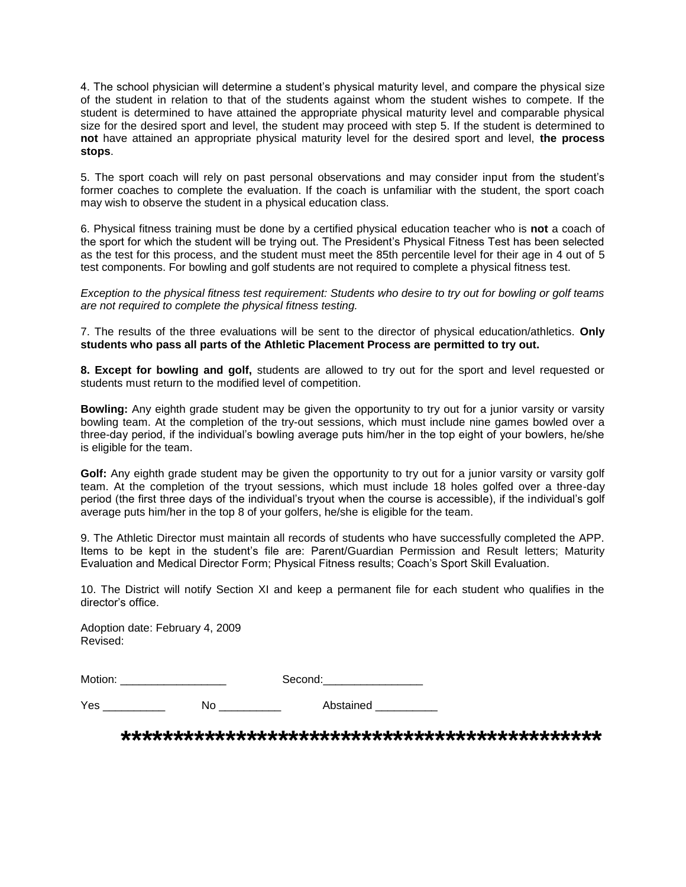4. The school physician will determine a student's physical maturity level, and compare the physical size of the student in relation to that of the students against whom the student wishes to compete. If the student is determined to have attained the appropriate physical maturity level and comparable physical size for the desired sport and level, the student may proceed with step 5. If the student is determined to **not** have attained an appropriate physical maturity level for the desired sport and level, **the process stops**.

5. The sport coach will rely on past personal observations and may consider input from the student's former coaches to complete the evaluation. If the coach is unfamiliar with the student, the sport coach may wish to observe the student in a physical education class.

6. Physical fitness training must be done by a certified physical education teacher who is **not** a coach of the sport for which the student will be trying out. The President's Physical Fitness Test has been selected as the test for this process, and the student must meet the 85th percentile level for their age in 4 out of 5 test components. For bowling and golf students are not required to complete a physical fitness test.

*Exception to the physical fitness test requirement: Students who desire to try out for bowling or golf teams are not required to complete the physical fitness testing.* 

7. The results of the three evaluations will be sent to the director of physical education/athletics. **Only students who pass all parts of the Athletic Placement Process are permitted to try out.** 

**8. Except for bowling and golf,** students are allowed to try out for the sport and level requested or students must return to the modified level of competition.

**Bowling:** Any eighth grade student may be given the opportunity to try out for a junior varsity or varsity bowling team. At the completion of the try-out sessions, which must include nine games bowled over a three-day period, if the individual's bowling average puts him/her in the top eight of your bowlers, he/she is eligible for the team.

Golf: Any eighth grade student may be given the opportunity to try out for a junior varsity or varsity golf team. At the completion of the tryout sessions, which must include 18 holes golfed over a three-day period (the first three days of the individual's tryout when the course is accessible), if the individual's golf average puts him/her in the top 8 of your golfers, he/she is eligible for the team.

9. The Athletic Director must maintain all records of students who have successfully completed the APP. Items to be kept in the student's file are: Parent/Guardian Permission and Result letters; Maturity Evaluation and Medical Director Form; Physical Fitness results; Coach's Sport Skill Evaluation.

10. The District will notify Section XI and keep a permanent file for each student who qualifies in the director's office.

Adoption date: February 4, 2009 Revised:

Motion: \_\_\_\_\_\_\_\_\_\_\_\_\_\_\_\_\_ Second:\_\_\_\_\_\_\_\_\_\_\_\_\_\_\_\_

Yes \_\_\_\_\_\_\_\_\_\_\_\_\_ No \_\_\_\_\_\_\_\_\_\_ Abstained

**\*\*\*\*\*\*\*\*\*\*\*\*\*\*\*\*\*\*\*\*\*\*\*\*\*\*\*\*\*\*\*\*\*\*\*\*\*\*\*\*\*\*\*\*\*\***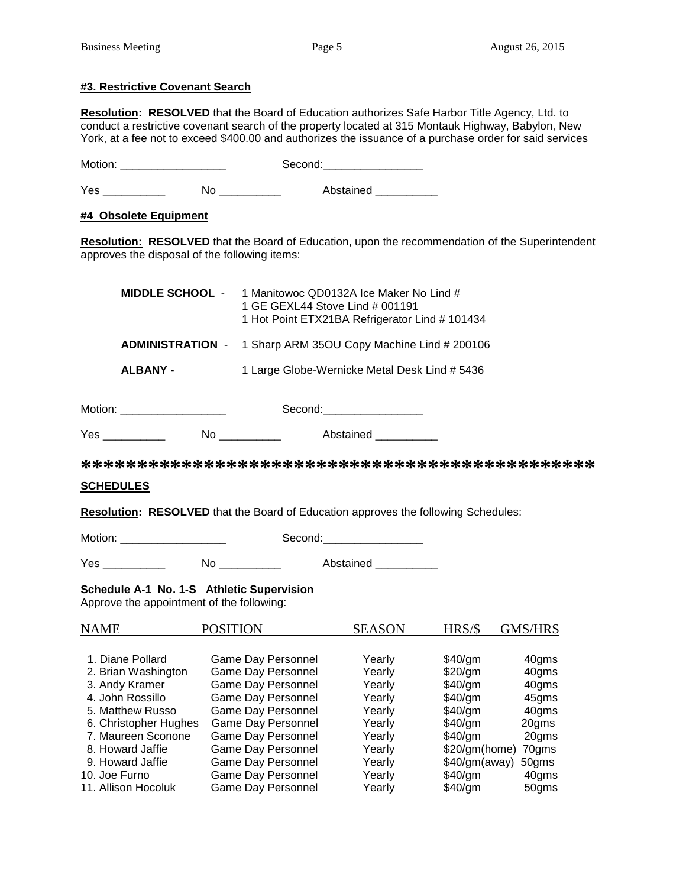### **#3. Restrictive Covenant Search**

**Resolution: RESOLVED** that the Board of Education authorizes Safe Harbor Title Agency, Ltd. to conduct a restrictive covenant search of the property located at 315 Montauk Highway, Babylon, New York, at a fee not to exceed \$400.00 and authorizes the issuance of a purchase order for said services

Motion: \_\_\_\_\_\_\_\_\_\_\_\_\_\_\_\_\_ Second:\_\_\_\_\_\_\_\_\_\_\_\_\_\_\_\_

Yes \_\_\_\_\_\_\_\_\_\_\_\_ No \_\_\_\_\_\_\_\_\_\_ Abstained \_\_\_\_\_\_\_\_\_

## **#4 Obsolete Equipment**

**Resolution: RESOLVED** that the Board of Education, upon the recommendation of the Superintendent approves the disposal of the following items:

| <b>MIDDLE SCHOOL -</b> | 1 Manitowoc QD0132A Ice Maker No Lind #<br>1 GE GEXL44 Stove Lind # 001191<br>1 Hot Point ETX21BA Refrigerator Lind # 101434 |
|------------------------|------------------------------------------------------------------------------------------------------------------------------|
|                        | <b>ADMINISTRATION</b> - 1 Sharp ARM 35OU Copy Machine Lind # 200106                                                          |
| <b>ALBANY -</b>        | 1 Large Globe-Wernicke Metal Desk Lind # 5436                                                                                |

| Motion: | second. |
|---------|---------|
|         |         |

| v<br>.<br>.<br><u>.</u><br>. | 1000<br>∹ |
|------------------------------|-----------|
|------------------------------|-----------|

**\*\*\*\*\*\*\*\*\*\*\*\*\*\*\*\*\*\*\*\*\*\*\*\*\*\*\*\*\*\*\*\*\*\*\*\*\*\*\*\*\*\*\*\*\*\***

### **SCHEDULES**

**Resolution: RESOLVED** that the Board of Education approves the following Schedules:

Motion: example of the Second:

Yes \_\_\_\_\_\_\_\_\_\_ No \_\_\_\_\_\_\_\_\_\_ Abstained \_\_\_\_\_\_\_\_\_\_

**Schedule A-1 No. 1-S Athletic Supervision**

Approve the appointment of the following:

| <b>NAME</b>           | <b>POSITION</b>           | <b>SEASON</b> | HRS/S         | GMS/HRS |
|-----------------------|---------------------------|---------------|---------------|---------|
|                       |                           |               |               |         |
| 1. Diane Pollard      | Game Day Personnel        | Yearly        | \$40/gm       | 40gms   |
| 2. Brian Washington   | Game Day Personnel        | Yearly        | \$20/gm       | 40gms   |
| 3. Andy Kramer        | <b>Game Day Personnel</b> | Yearly        | $$40$ /gm     | 40gms   |
| 4. John Rossillo      | Game Day Personnel        | Yearly        | $$40$ /gm     | 45gms   |
| 5. Matthew Russo      | Game Day Personnel        | Yearly        | $$40$ /gm     | 40gms   |
| 6. Christopher Hughes | <b>Game Day Personnel</b> | Yearly        | $$40$ /gm     | 20gms   |
| 7. Maureen Sconone    | Game Day Personnel        | Yearly        | $$40$ /gm     | 20gms   |
| 8. Howard Jaffie      | Game Day Personnel        | Yearly        | \$20/gm(home) | 70gms   |
| 9. Howard Jaffie      | <b>Game Day Personnel</b> | Yearly        | \$40/gm(away) | 50gms   |
| 10. Joe Furno         | Game Day Personnel        | Yearly        | \$40/gm       | 40gms   |
| 11. Allison Hocoluk   | Game Day Personnel        | Yearly        | \$40/qm       | 50gms   |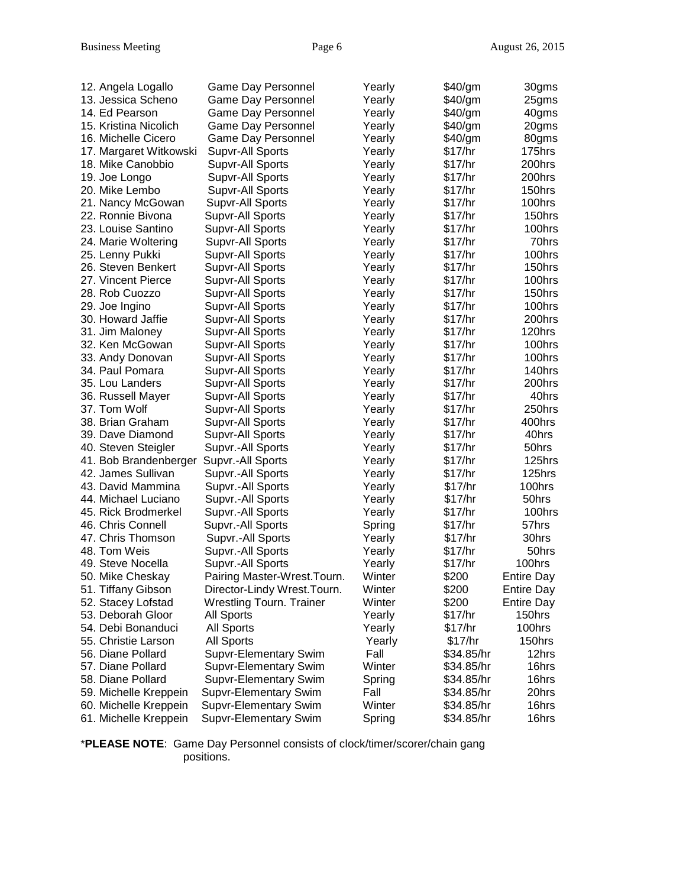| 12. Angela Logallo     | Game Day Personnel                   | Yearly | \$40/gm    | 30gms             |
|------------------------|--------------------------------------|--------|------------|-------------------|
| 13. Jessica Scheno     | Game Day Personnel                   | Yearly | \$40/gm    | 25gms             |
| 14. Ed Pearson         | Game Day Personnel                   | Yearly | \$40/gm    | 40gms             |
| 15. Kristina Nicolich  | Game Day Personnel                   | Yearly | \$40/gm    | 20gms             |
| 16. Michelle Cicero    | Game Day Personnel                   | Yearly | \$40/gm    | 80gms             |
| 17. Margaret Witkowski | Supvr-All Sports                     | Yearly | \$17/hr    | 175hrs            |
| 18. Mike Canobbio      | Supvr-All Sports                     | Yearly | \$17/hr    | 200hrs            |
| 19. Joe Longo          | Supvr-All Sports                     | Yearly | \$17/hr    | 200hrs            |
| 20. Mike Lembo         | Supvr-All Sports                     | Yearly | \$17/hr    | 150hrs            |
| 21. Nancy McGowan      | Supvr-All Sports                     | Yearly | \$17/hr    | 100hrs            |
| 22. Ronnie Bivona      | Supvr-All Sports                     | Yearly | \$17/hr    | 150hrs            |
| 23. Louise Santino     | Supvr-All Sports                     | Yearly | \$17/hr    | 100hrs            |
| 24. Marie Woltering    | <b>Supvr-All Sports</b>              | Yearly | \$17/hr    | 70hrs             |
| 25. Lenny Pukki        | Supvr-All Sports                     | Yearly | \$17/hr    | 100hrs            |
| 26. Steven Benkert     | Supvr-All Sports                     | Yearly | \$17/hr    | 150hrs            |
| 27. Vincent Pierce     | Supvr-All Sports                     | Yearly | \$17/hr    | 100hrs            |
| 28. Rob Cuozzo         | Supvr-All Sports                     | Yearly | \$17/hr    | 150hrs            |
| 29. Joe Ingino         | Supvr-All Sports                     | Yearly | \$17/hr    | 100hrs            |
| 30. Howard Jaffie      | Supvr-All Sports                     | Yearly | \$17/hr    | 200hrs            |
| 31. Jim Maloney        | Supvr-All Sports                     | Yearly | \$17/hr    | 120hrs            |
| 32. Ken McGowan        | Supvr-All Sports                     |        | \$17/hr    | 100hrs            |
|                        |                                      | Yearly | \$17/hr    |                   |
| 33. Andy Donovan       | Supvr-All Sports<br>Supvr-All Sports | Yearly | \$17/hr    | 100hrs<br>140hrs  |
| 34. Paul Pomara        |                                      | Yearly |            |                   |
| 35. Lou Landers        | Supvr-All Sports                     | Yearly | \$17/hr    | 200hrs            |
| 36. Russell Mayer      | Supvr-All Sports                     | Yearly | \$17/hr    | 40hrs             |
| 37. Tom Wolf           | Supvr-All Sports                     | Yearly | \$17/hr    | 250hrs            |
| 38. Brian Graham       | Supvr-All Sports                     | Yearly | \$17/hr    | 400hrs            |
| 39. Dave Diamond       | Supvr-All Sports                     | Yearly | \$17/hr    | 40hrs             |
| 40. Steven Steigler    | Supvr.-All Sports                    | Yearly | \$17/hr    | 50hrs             |
| 41. Bob Brandenberger  | Supvr.-All Sports                    | Yearly | \$17/hr    | 125hrs            |
| 42. James Sullivan     | Supvr.-All Sports                    | Yearly | \$17/hr    | 125hrs            |
| 43. David Mammina      | Supvr.-All Sports                    | Yearly | \$17/hr    | 100hrs            |
| 44. Michael Luciano    | Supvr.-All Sports                    | Yearly | \$17/hr    | 50hrs             |
| 45. Rick Brodmerkel    | Supvr.-All Sports                    | Yearly | \$17/hr    | 100hrs            |
| 46. Chris Connell      | Supvr.-All Sports                    | Spring | \$17/hr    | 57hrs             |
| 47. Chris Thomson      | Supvr.-All Sports                    | Yearly | \$17/hr    | 30hrs             |
| 48. Tom Weis           | Supvr.-All Sports                    | Yearly | \$17/hr    | 50hrs             |
| 49. Steve Nocella      | Supvr.-All Sports                    | Yearly | \$17/hr    | 100hrs            |
| 50. Mike Cheskay       | Pairing Master-Wrest. Tourn.         | Winter | \$200      | <b>Entire Day</b> |
| 51. Tiffany Gibson     | Director-Lindy Wrest.Tourn.          | Winter | \$200      | <b>Entire Day</b> |
| 52. Stacey Lofstad     | <b>Wrestling Tourn. Trainer</b>      | Winter | \$200      | <b>Entire Day</b> |
| 53. Deborah Gloor      | <b>All Sports</b>                    | Yearly | \$17/hr    | 150hrs            |
| 54. Debi Bonanduci     | All Sports                           | Yearly | \$17/hr    | 100hrs            |
| 55. Christie Larson    | All Sports                           | Yearly | \$17/hr    | 150hrs            |
| 56. Diane Pollard      | <b>Supvr-Elementary Swim</b>         | Fall   | \$34.85/hr | 12hrs             |
| 57. Diane Pollard      | <b>Supvr-Elementary Swim</b>         | Winter | \$34.85/hr | 16hrs             |
| 58. Diane Pollard      | <b>Supvr-Elementary Swim</b>         | Spring | \$34.85/hr | 16hrs             |
| 59. Michelle Kreppein  | <b>Supvr-Elementary Swim</b>         | Fall   | \$34.85/hr | 20hrs             |
| 60. Michelle Kreppein  | <b>Supvr-Elementary Swim</b>         | Winter | \$34.85/hr | 16hrs             |
| 61. Michelle Kreppein  | <b>Supvr-Elementary Swim</b>         | Spring | \$34.85/hr | 16hrs             |

\***PLEASE NOTE**: Game Day Personnel consists of clock/timer/scorer/chain gang positions.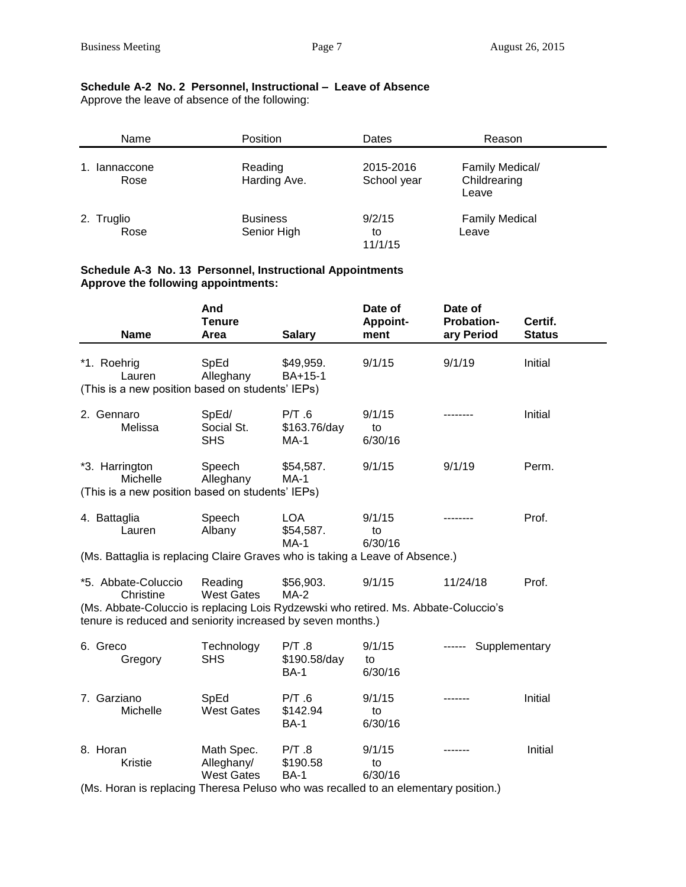# **Schedule A-2 No. 2 Personnel, Instructional – Leave of Absence**

Approve the leave of absence of the following:

| Name               | <b>Position</b>                | Dates                    | Reason                                   |
|--------------------|--------------------------------|--------------------------|------------------------------------------|
| lannaccone<br>Rose | Reading<br>Harding Ave.        | 2015-2016<br>School year | Family Medical/<br>Childrearing<br>Leave |
| 2. Truglio<br>Rose | <b>Business</b><br>Senior High | 9/2/15<br>to<br>11/1/15  | <b>Family Medical</b><br>Leave           |

#### **Schedule A-3 No. 13 Personnel, Instructional Appointments Approve the following appointments:**

| <b>Name</b>                                                                                                                                                                            | And<br><b>Tenure</b><br>Area                                                        | <b>Salary</b>                        | Date of<br>Appoint-<br>ment | Date of<br><b>Probation-</b><br>ary Period | Certif.<br><b>Status</b> |  |
|----------------------------------------------------------------------------------------------------------------------------------------------------------------------------------------|-------------------------------------------------------------------------------------|--------------------------------------|-----------------------------|--------------------------------------------|--------------------------|--|
| *1. Roehrig<br>Lauren<br>(This is a new position based on students' IEPs)                                                                                                              | SpEd<br>Alleghany                                                                   | \$49,959.<br>BA+15-1                 | 9/1/15                      | 9/1/19                                     | Initial                  |  |
| 2. Gennaro<br>Melissa                                                                                                                                                                  | SpEd/<br>Social St.<br><b>SHS</b>                                                   | P/T.6<br>\$163.76/day<br>$MA-1$      | 9/1/15<br>to<br>6/30/16     |                                            | Initial                  |  |
| *3. Harrington<br>Michelle<br>(This is a new position based on students' IEPs)                                                                                                         | Speech<br>Alleghany                                                                 | \$54,587.<br><b>MA-1</b>             | 9/1/15                      | 9/1/19                                     | Perm.                    |  |
| 4. Battaglia<br>Lauren                                                                                                                                                                 | Speech<br>Albany                                                                    | <b>LOA</b><br>\$54,587.<br>$MA-1$    | 9/1/15<br>to<br>6/30/16     |                                            | Prof.                    |  |
| (Ms. Battaglia is replacing Claire Graves who is taking a Leave of Absence.)                                                                                                           |                                                                                     |                                      |                             |                                            |                          |  |
| *5. Abbate-Coluccio<br>Christine<br>(Ms. Abbate-Coluccio is replacing Lois Rydzewski who retired. Ms. Abbate-Coluccio's<br>tenure is reduced and seniority increased by seven months.) | Reading<br><b>West Gates</b>                                                        | \$56,903.<br>$MA-2$                  | 9/1/15                      | 11/24/18                                   | Prof.                    |  |
| 6. Greco<br>Gregory                                                                                                                                                                    | Technology<br><b>SHS</b>                                                            | P/T.8<br>\$190.58/day<br><b>BA-1</b> | 9/1/15<br>to<br>6/30/16     | ------ Supplementary                       |                          |  |
| 7. Garziano<br>Michelle                                                                                                                                                                | SpEd<br><b>West Gates</b>                                                           | P/T.6<br>\$142.94<br><b>BA-1</b>     | 9/1/15<br>to<br>6/30/16     |                                            | Initial                  |  |
| 8. Horan<br>Kristie                                                                                                                                                                    | Math Spec.<br>Alleghany/<br><b>West Gates</b>                                       | P/T.8<br>\$190.58<br><b>BA-1</b>     | 9/1/15<br>to<br>6/30/16     |                                            | Initial                  |  |
|                                                                                                                                                                                        | (Ms. Horan is replacing Theresa Peluso who was recalled to an elementary position.) |                                      |                             |                                            |                          |  |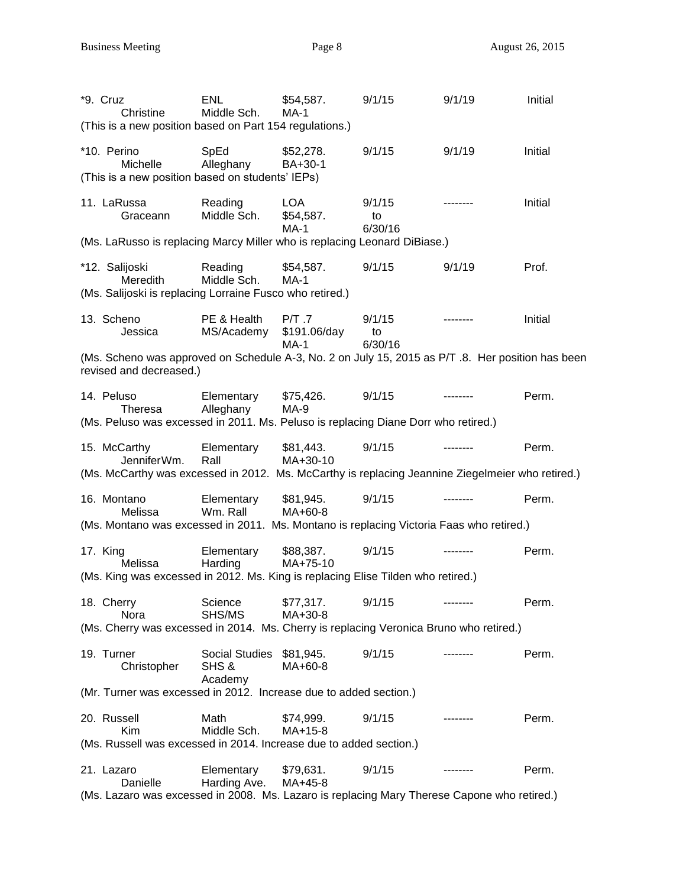| *9. Cruz<br>Christine<br>(This is a new position based on Part 154 regulations.)                                            | <b>ENL</b><br>Middle Sch.                    | \$54,587.<br>$MA-1$               | 9/1/15                  | 9/1/19    | Initial |
|-----------------------------------------------------------------------------------------------------------------------------|----------------------------------------------|-----------------------------------|-------------------------|-----------|---------|
| *10. Perino<br><b>Michelle</b><br>(This is a new position based on students' IEPs)                                          | SpEd<br>Alleghany                            | \$52,278.<br>BA+30-1              | 9/1/15                  | 9/1/19    | Initial |
| 11. LaRussa<br>Graceann                                                                                                     | Reading<br>Middle Sch.                       | <b>LOA</b><br>\$54,587.<br>$MA-1$ | 9/1/15<br>to<br>6/30/16 | --------- | Initial |
| (Ms. LaRusso is replacing Marcy Miller who is replacing Leonard DiBiase.)                                                   |                                              |                                   |                         |           |         |
| *12. Salijoski<br>Meredith<br>(Ms. Salijoski is replacing Lorraine Fusco who retired.)                                      | Reading<br>Middle Sch.                       | \$54,587.<br>$MA-1$               | 9/1/15                  | 9/1/19    | Prof.   |
| 13. Scheno<br>Jessica                                                                                                       | PE & Health<br>MS/Academy                    | P/T.7<br>\$191.06/day<br>MA-1     | 9/1/15<br>to<br>6/30/16 |           | Initial |
| (Ms. Scheno was approved on Schedule A-3, No. 2 on July 15, 2015 as P/T.8. Her position has been<br>revised and decreased.) |                                              |                                   |                         |           |         |
| 14. Peluso<br>Theresa                                                                                                       | Elementary<br>Alleghany                      | \$75,426.<br>MA-9                 | 9/1/15                  |           | Perm.   |
| (Ms. Peluso was excessed in 2011. Ms. Peluso is replacing Diane Dorr who retired.)                                          |                                              |                                   |                         |           |         |
| 15. McCarthy<br>JenniferWm.                                                                                                 | Elementary<br>Rall                           | \$81,443.<br>MA+30-10             | 9/1/15                  |           | Perm.   |
| (Ms. McCarthy was excessed in 2012. Ms. McCarthy is replacing Jeannine Ziegelmeier who retired.)                            |                                              |                                   |                         |           |         |
| 16. Montano<br>Melissa<br>(Ms. Montano was excessed in 2011. Ms. Montano is replacing Victoria Faas who retired.)           | Elementary<br>Wm. Rall                       | \$81,945.<br>MA+60-8              | 9/1/15                  |           | Perm.   |
|                                                                                                                             |                                              |                                   |                         |           |         |
| 17. King<br>Melissa                                                                                                         | Elementary<br>Harding                        | \$88,387.<br>MA+75-10             | 9/1/15                  |           | Perm.   |
| (Ms. King was excessed in 2012. Ms. King is replacing Elise Tilden who retired.)                                            |                                              |                                   |                         |           |         |
| 18. Cherry<br>Nora                                                                                                          | Science<br>SHS/MS                            | \$77,317.<br>MA+30-8              | 9/1/15                  | --------  | Perm.   |
| (Ms. Cherry was excessed in 2014. Ms. Cherry is replacing Veronica Bruno who retired.)                                      |                                              |                                   |                         |           |         |
| 19. Turner<br>Christopher                                                                                                   | Social Studies \$81,945.<br>SHS &<br>Academy | MA+60-8                           | 9/1/15                  |           | Perm.   |
| (Mr. Turner was excessed in 2012. Increase due to added section.)                                                           |                                              |                                   |                         |           |         |
| 20. Russell<br><b>Kim</b>                                                                                                   | Math<br>Middle Sch.                          | \$74,999.<br>$MA+15-8$            | 9/1/15                  |           | Perm.   |
| (Ms. Russell was excessed in 2014. Increase due to added section.)                                                          |                                              |                                   |                         |           |         |
| 21. Lazaro<br>Danielle                                                                                                      | Elementary<br>Harding Ave.                   | \$79,631.<br>MA+45-8              | 9/1/15                  |           | Perm.   |
| (Ms. Lazaro was excessed in 2008. Ms. Lazaro is replacing Mary Therese Capone who retired.)                                 |                                              |                                   |                         |           |         |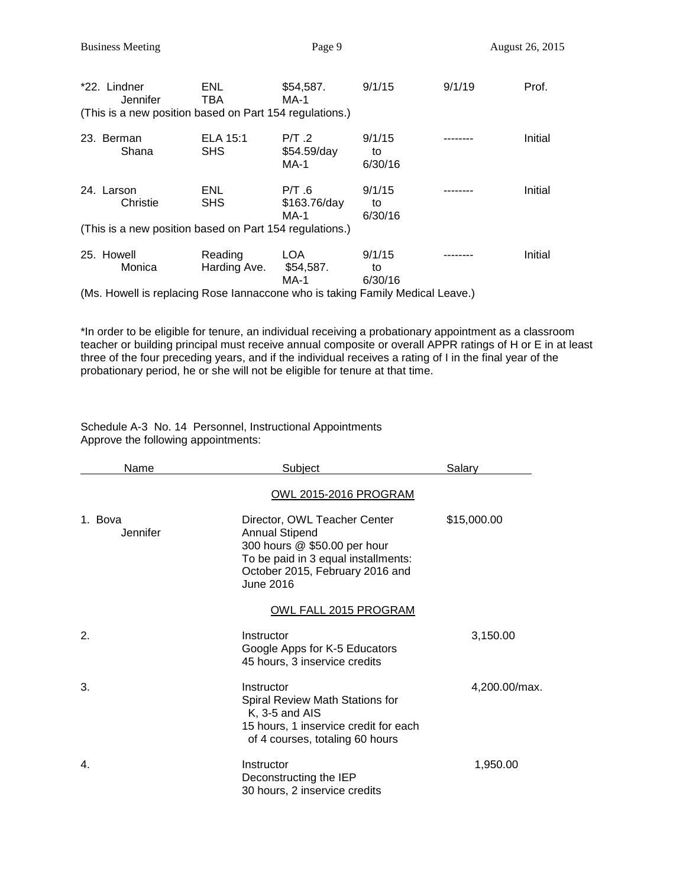| *22. Lindner<br>Jennifer<br>(This is a new position based on Part 154 regulations.) | ENL.<br>TBA             | \$54,587.<br><b>MA-1</b>               | 9/1/15                  | 9/1/19 | Prof.   |
|-------------------------------------------------------------------------------------|-------------------------|----------------------------------------|-------------------------|--------|---------|
| 23. Berman<br>Shana                                                                 | ELA 15:1<br><b>SHS</b>  | $P/T$ .2<br>\$54.59/day<br><b>MA-1</b> | 9/1/15<br>to<br>6/30/16 |        | Initial |
| 24. Larson<br>Christie<br>(This is a new position based on Part 154 regulations.)   | ENL<br><b>SHS</b>       | P/T.6<br>\$163.76/day<br>MA-1          | 9/1/15<br>to<br>6/30/16 |        | Initial |
| 25. Howell<br>Monica                                                                | Reading<br>Harding Ave. | LOA<br>\$54,587.<br><b>MA-1</b>        | 9/1/15<br>to<br>6/30/16 |        | Initial |

(Ms. Howell is replacing Rose Iannaccone who is taking Family Medical Leave.)

\*In order to be eligible for tenure, an individual receiving a probationary appointment as a classroom teacher or building principal must receive annual composite or overall APPR ratings of H or E in at least three of the four preceding years, and if the individual receives a rating of I in the final year of the probationary period, he or she will not be eligible for tenure at that time.

Schedule A-3 No. 14 Personnel, Instructional Appointments Approve the following appointments:

| <b>Name</b>         | Subject                                                                                                                                                                      | Salary        |
|---------------------|------------------------------------------------------------------------------------------------------------------------------------------------------------------------------|---------------|
|                     | <u>OWL 2015-2016 PROGRAM</u>                                                                                                                                                 |               |
| 1. Bova<br>Jennifer | Director, OWL Teacher Center<br><b>Annual Stipend</b><br>300 hours @ \$50.00 per hour<br>To be paid in 3 equal installments:<br>October 2015, February 2016 and<br>June 2016 | \$15,000.00   |
|                     | OWL FALL 2015 PROGRAM                                                                                                                                                        |               |
| 2.                  | Instructor<br>Google Apps for K-5 Educators<br>45 hours, 3 inservice credits                                                                                                 | 3,150.00      |
| 3.                  | Instructor<br>Spiral Review Math Stations for<br>$K$ , 3-5 and AIS<br>15 hours, 1 inservice credit for each<br>of 4 courses, totaling 60 hours                               | 4,200.00/max. |
| $\mathbf{4}$ .      | Instructor<br>Deconstructing the IEP<br>30 hours, 2 inservice credits                                                                                                        | 1,950.00      |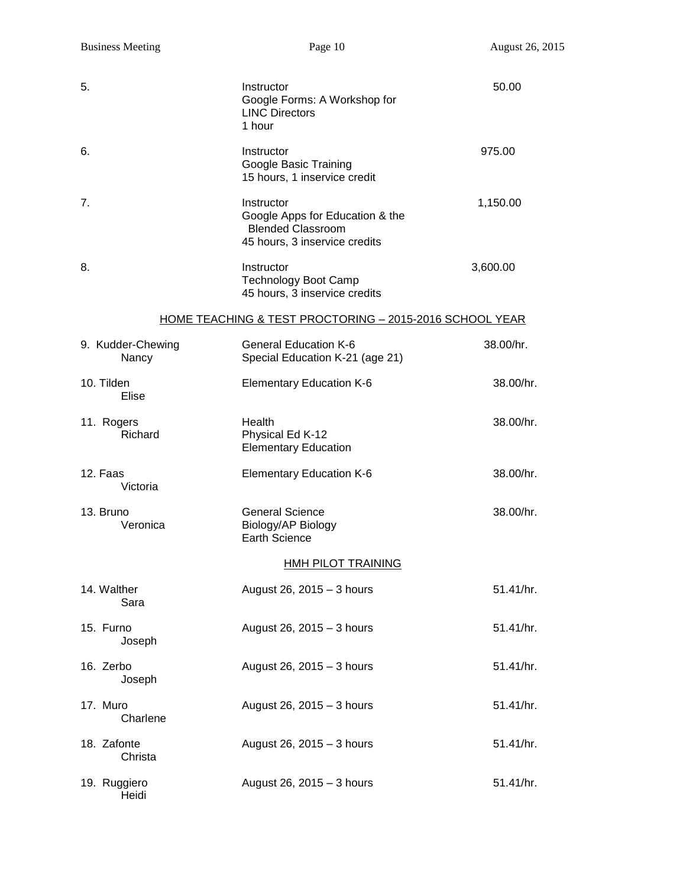| 5.           |                            | Instructor<br>Google Forms: A Workshop for<br><b>LINC Directors</b><br>1 hour                              | 50.00     |
|--------------|----------------------------|------------------------------------------------------------------------------------------------------------|-----------|
| 6.           |                            | Instructor<br>Google Basic Training<br>15 hours, 1 inservice credit                                        | 975.00    |
| 7.           |                            | Instructor<br>Google Apps for Education & the<br><b>Blended Classroom</b><br>45 hours, 3 inservice credits | 1,150.00  |
| 8.           |                            | Instructor<br><b>Technology Boot Camp</b><br>45 hours, 3 inservice credits                                 | 3,600.00  |
|              |                            | HOME TEACHING & TEST PROCTORING - 2015-2016 SCHOOL YEAR                                                    |           |
|              | 9. Kudder-Chewing<br>Nancy | <b>General Education K-6</b><br>Special Education K-21 (age 21)                                            | 38.00/hr. |
| 10. Tilden   | Elise                      | <b>Elementary Education K-6</b>                                                                            | 38.00/hr. |
| 11. Rogers   | Richard                    | Health<br>Physical Ed K-12<br><b>Elementary Education</b>                                                  | 38.00/hr. |
| 12. Faas     | Victoria                   | <b>Elementary Education K-6</b>                                                                            | 38.00/hr. |
| 13. Bruno    | Veronica                   | <b>General Science</b><br>Biology/AP Biology<br><b>Earth Science</b>                                       | 38.00/hr. |
|              |                            | <b>HMH PILOT TRAINING</b>                                                                                  |           |
| 14. Walther  | Sara                       | August 26, 2015 - 3 hours                                                                                  | 51.41/hr. |
| 15. Furno    | Joseph                     | August 26, 2015 - 3 hours                                                                                  | 51.41/hr. |
| 16. Zerbo    | Joseph                     | August 26, 2015 - 3 hours                                                                                  | 51.41/hr. |
| 17. Muro     | Charlene                   | August 26, 2015 - 3 hours                                                                                  | 51.41/hr. |
| 18. Zafonte  | Christa                    | August 26, 2015 - 3 hours                                                                                  | 51.41/hr. |
| 19. Ruggiero | Heidi                      | August 26, 2015 - 3 hours                                                                                  | 51.41/hr. |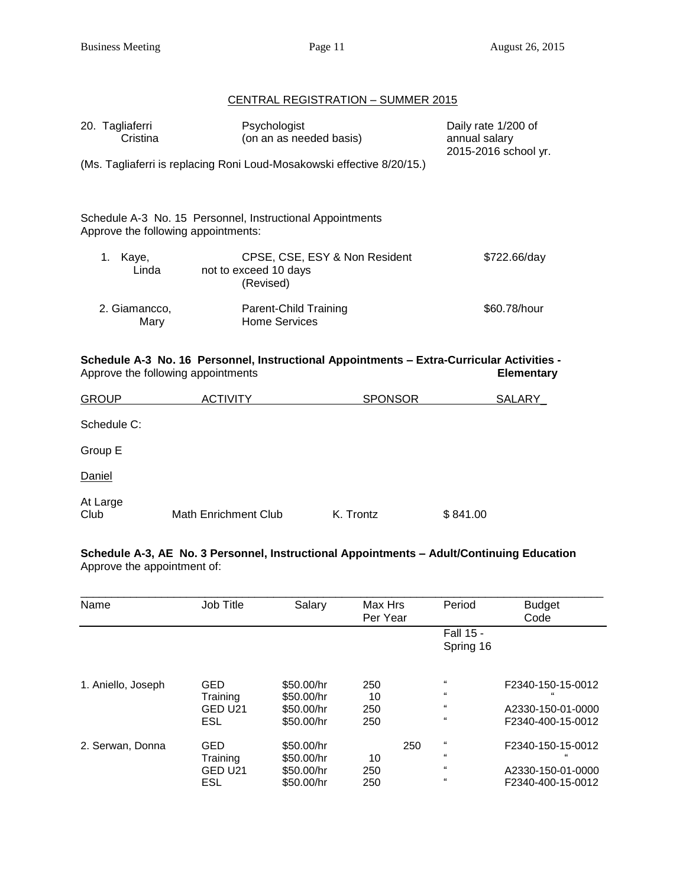# CENTRAL REGISTRATION – SUMMER 2015

| 20. Tagliaferri<br>Cristina | Psychologist<br>(on an as needed basis)                                                                                         |                               | Daily rate 1/200 of<br>annual salary<br>2015-2016 school yr. |
|-----------------------------|---------------------------------------------------------------------------------------------------------------------------------|-------------------------------|--------------------------------------------------------------|
|                             | (Ms. Tagliaferri is replacing Roni Loud-Mosakowski effective 8/20/15.)                                                          |                               |                                                              |
|                             | Schedule A-3 No. 15 Personnel, Instructional Appointments<br>Approve the following appointments:                                |                               |                                                              |
| 1.<br>Kaye,<br>Linda        | not to exceed 10 days<br>(Revised)                                                                                              | CPSE, CSE, ESY & Non Resident | \$722.66/day                                                 |
| 2. Giamancco,<br>Mary       | Parent-Child Training<br><b>Home Services</b>                                                                                   |                               | \$60.78/hour                                                 |
|                             | Schedule A-3 No. 16 Personnel, Instructional Appointments - Extra-Curricular Activities -<br>Approve the following appointments |                               | <b>Elementary</b>                                            |
| <b>GROUP</b>                | <b>ACTIVITY</b>                                                                                                                 | <b>SPONSOR</b>                | SALARY                                                       |
| Schedule C:                 |                                                                                                                                 |                               |                                                              |
| Group E                     |                                                                                                                                 |                               |                                                              |
| Daniel                      |                                                                                                                                 |                               |                                                              |
| At Large<br>Club            | <b>Math Enrichment Club</b>                                                                                                     | K. Trontz                     | \$841.00                                                     |

**Schedule A-3, AE No. 3 Personnel, Instructional Appointments – Adult/Continuing Education** Approve the appointment of:

| Name               | Job Title                                | Salary                                               | Max Hrs<br>Per Year     | Period                                                                       | <b>Budget</b><br>Code                                       |
|--------------------|------------------------------------------|------------------------------------------------------|-------------------------|------------------------------------------------------------------------------|-------------------------------------------------------------|
|                    |                                          |                                                      |                         | <b>Fall 15 -</b><br>Spring 16                                                |                                                             |
| 1. Aniello, Joseph | <b>GED</b><br>Training                   | \$50.00/hr<br>\$50.00/hr                             | 250<br>10               | $\epsilon$<br>$\epsilon$                                                     | F2340-150-15-0012                                           |
|                    | GED U21<br>ESL                           | \$50.00/hr<br>\$50.00/hr                             | 250<br>250              | $\epsilon$<br>$\epsilon\epsilon$                                             | A2330-150-01-0000<br>F2340-400-15-0012                      |
| 2. Serwan, Donna   | <b>GED</b><br>Training<br>GED U21<br>ESL | \$50.00/hr<br>\$50.00/hr<br>\$50,00/hr<br>\$50.00/hr | 250<br>10<br>250<br>250 | $\epsilon\epsilon$<br>$\epsilon\epsilon$<br>$\epsilon$<br>$\epsilon\epsilon$ | F2340-150-15-0012<br>A2330-150-01-0000<br>F2340-400-15-0012 |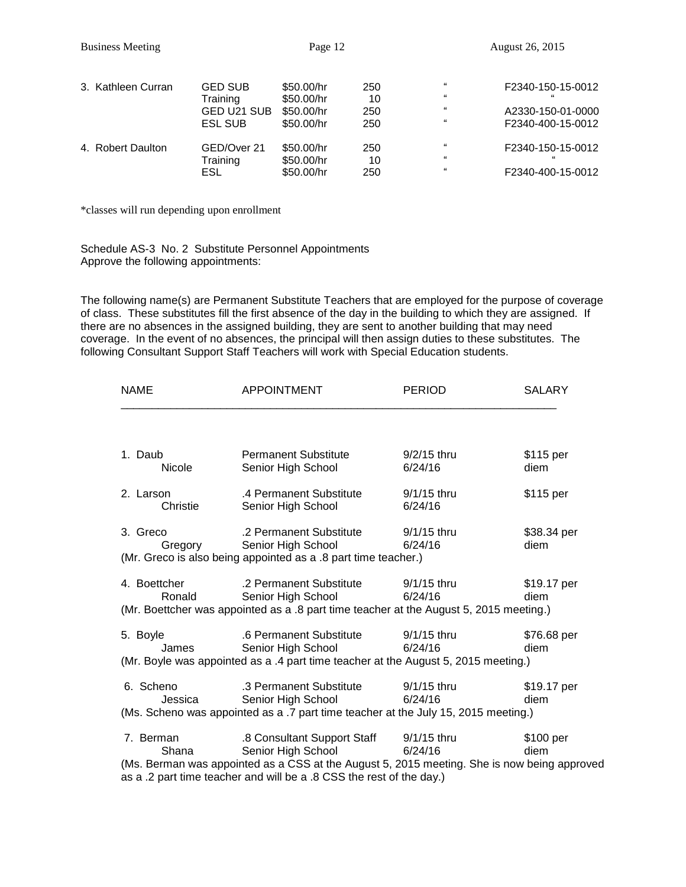| 3. Kathleen Curran | <b>GED SUB</b><br>Training<br>GED U21 SUB<br><b>ESL SUB</b> | \$50.00/hr<br>\$50.00/hr<br>\$50.00/hr<br>\$50.00/hr | 250<br>10<br>250<br>250 | $^{16}$<br>$\epsilon$<br>$^{16}$<br>$^{16}$    | F2340-150-15-0012<br>A2330-150-01-0000<br>F2340-400-15-0012 |
|--------------------|-------------------------------------------------------------|------------------------------------------------------|-------------------------|------------------------------------------------|-------------------------------------------------------------|
| 4. Robert Daulton  | GED/Over 21<br>Training<br>ESL                              | \$50.00/hr<br>\$50.00/hr<br>\$50,00/hr               | 250<br>10<br>250        | 66<br>$\epsilon\epsilon$<br>$\epsilon\epsilon$ | F2340-150-15-0012<br>F2340-400-15-0012                      |

\*classes will run depending upon enrollment

Schedule AS-3 No. 2 Substitute Personnel Appointments Approve the following appointments:

The following name(s) are Permanent Substitute Teachers that are employed for the purpose of coverage of class. These substitutes fill the first absence of the day in the building to which they are assigned. If there are no absences in the assigned building, they are sent to another building that may need coverage. In the event of no absences, the principal will then assign duties to these substitutes. The following Consultant Support Staff Teachers will work with Special Education students.

| <b>NAME</b>            | <b>APPOINTMENT</b>                                                                                                                                                                                                       | <b>PERIOD</b>            | <b>SALARY</b>       |
|------------------------|--------------------------------------------------------------------------------------------------------------------------------------------------------------------------------------------------------------------------|--------------------------|---------------------|
| 1. Daub                | <b>Permanent Substitute</b>                                                                                                                                                                                              | $9/2/15$ thru            | \$115 per           |
| <b>Nicole</b>          | Senior High School                                                                                                                                                                                                       | 6/24/16                  | diem                |
| 2. Larson<br>Christie  | .4 Permanent Substitute<br>Senior High School                                                                                                                                                                            | 9/1/15 thru<br>6/24/16   | \$115 per           |
| 3. Greco<br>Gregory    | .2 Permanent Substitute<br>Senior High School<br>(Mr. Greco is also being appointed as a .8 part time teacher.)                                                                                                          | 9/1/15 thru<br>6/24/16   | \$38.34 per<br>diem |
| 4. Boettcher<br>Ronald | .2 Permanent Substitute<br>Senior High School<br>(Mr. Boettcher was appointed as a .8 part time teacher at the August 5, 2015 meeting.)                                                                                  | $9/1/15$ thru<br>6/24/16 | \$19.17 per<br>diem |
| 5. Boyle<br>James      | .6 Permanent Substitute<br>Senior High School<br>(Mr. Boyle was appointed as a .4 part time teacher at the August 5, 2015 meeting.)                                                                                      | 9/1/15 thru<br>6/24/16   | \$76.68 per<br>diem |
| 6. Scheno<br>Jessica   | .3 Permanent Substitute<br>Senior High School<br>(Ms. Scheno was appointed as a .7 part time teacher at the July 15, 2015 meeting.)                                                                                      | $9/1/15$ thru<br>6/24/16 | \$19.17 per<br>diem |
| 7. Berman<br>Shana     | .8 Consultant Support Staff<br>Senior High School<br>(Ms. Berman was appointed as a CSS at the August 5, 2015 meeting. She is now being approved<br>as a .2 part time teacher and will be a .8 CSS the rest of the day.) | 9/1/15 thru<br>6/24/16   | \$100 per<br>diem   |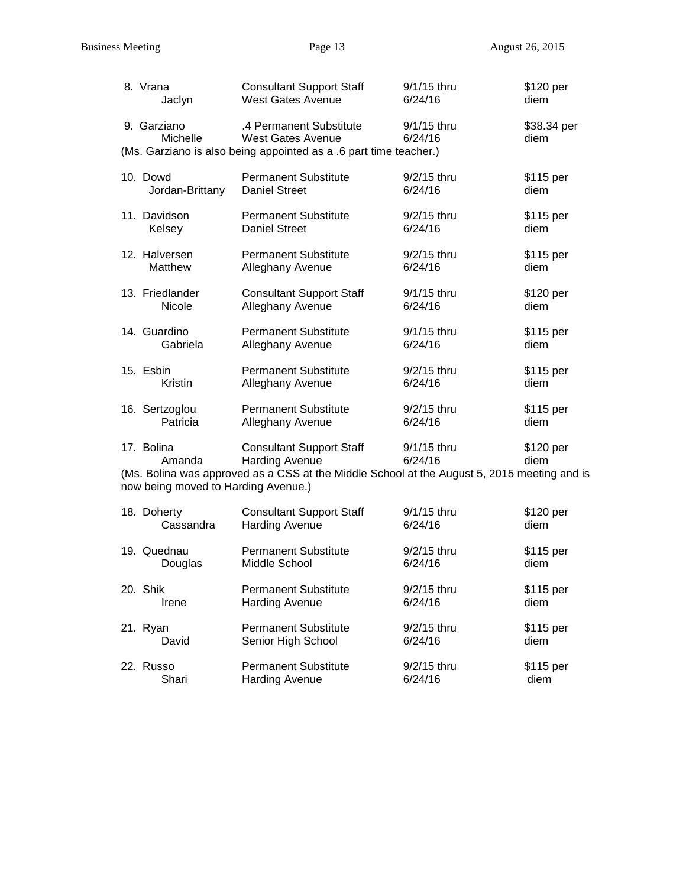| 8. Vrana                                                    | <b>Consultant Support Staff</b>                                                                                                                         | 9/1/15 thru            | \$120 per           |
|-------------------------------------------------------------|---------------------------------------------------------------------------------------------------------------------------------------------------------|------------------------|---------------------|
| Jaclyn                                                      | <b>West Gates Avenue</b>                                                                                                                                | 6/24/16                | diem                |
| 9. Garziano<br>Michelle                                     | .4 Permanent Substitute<br>West Gates Avenue<br>(Ms. Garziano is also being appointed as a .6 part time teacher.)                                       | 9/1/15 thru<br>6/24/16 | \$38.34 per<br>diem |
| 10. Dowd                                                    | <b>Permanent Substitute</b>                                                                                                                             | 9/2/15 thru            | \$115 per           |
| Jordan-Brittany                                             | <b>Daniel Street</b>                                                                                                                                    | 6/24/16                | diem                |
| 11. Davidson                                                | <b>Permanent Substitute</b>                                                                                                                             | 9/2/15 thru            | \$115 per           |
| Kelsey                                                      | <b>Daniel Street</b>                                                                                                                                    | 6/24/16                | diem                |
| 12. Halversen                                               | <b>Permanent Substitute</b>                                                                                                                             | 9/2/15 thru            | \$115 per           |
| Matthew                                                     | Alleghany Avenue                                                                                                                                        | 6/24/16                | diem                |
| 13. Friedlander                                             | <b>Consultant Support Staff</b>                                                                                                                         | 9/1/15 thru            | \$120 per           |
| <b>Nicole</b>                                               | Alleghany Avenue                                                                                                                                        | 6/24/16                | diem                |
| 14. Guardino                                                | <b>Permanent Substitute</b>                                                                                                                             | 9/1/15 thru            | \$115 per           |
| Gabriela                                                    | Alleghany Avenue                                                                                                                                        | 6/24/16                | diem                |
| 15. Esbin                                                   | <b>Permanent Substitute</b>                                                                                                                             | $9/2/15$ thru          | \$115 per           |
| Kristin                                                     | Alleghany Avenue                                                                                                                                        | 6/24/16                | diem                |
| 16. Sertzoglou                                              | <b>Permanent Substitute</b>                                                                                                                             | 9/2/15 thru            | \$115 per           |
| Patricia                                                    | Alleghany Avenue                                                                                                                                        | 6/24/16                | diem                |
| 17. Bolina<br>Amanda<br>now being moved to Harding Avenue.) | <b>Consultant Support Staff</b><br><b>Harding Avenue</b><br>(Ms. Bolina was approved as a CSS at the Middle School at the August 5, 2015 meeting and is | 9/1/15 thru<br>6/24/16 | \$120 per<br>diem   |
| 18. Doherty                                                 | <b>Consultant Support Staff</b>                                                                                                                         | 9/1/15 thru            | \$120 per           |
| Cassandra                                                   | <b>Harding Avenue</b>                                                                                                                                   | 6/24/16                | diem                |
| 19. Quednau                                                 | <b>Permanent Substitute</b>                                                                                                                             | 9/2/15 thru            | \$115 per           |
| Douglas                                                     | Middle School                                                                                                                                           | 6/24/16                | diem                |
| 20. Shik                                                    | <b>Permanent Substitute</b>                                                                                                                             | 9/2/15 thru            | \$115 per           |
| Irene                                                       | <b>Harding Avenue</b>                                                                                                                                   | 6/24/16                | diem                |
| 21. Ryan                                                    | <b>Permanent Substitute</b>                                                                                                                             | 9/2/15 thru            | \$115 per           |
| David                                                       | Senior High School                                                                                                                                      | 6/24/16                | diem                |
| 22. Russo                                                   | <b>Permanent Substitute</b>                                                                                                                             | $9/2/15$ thru          | \$115 per           |
| Shari                                                       | <b>Harding Avenue</b>                                                                                                                                   | 6/24/16                | diem                |

Harding Avenue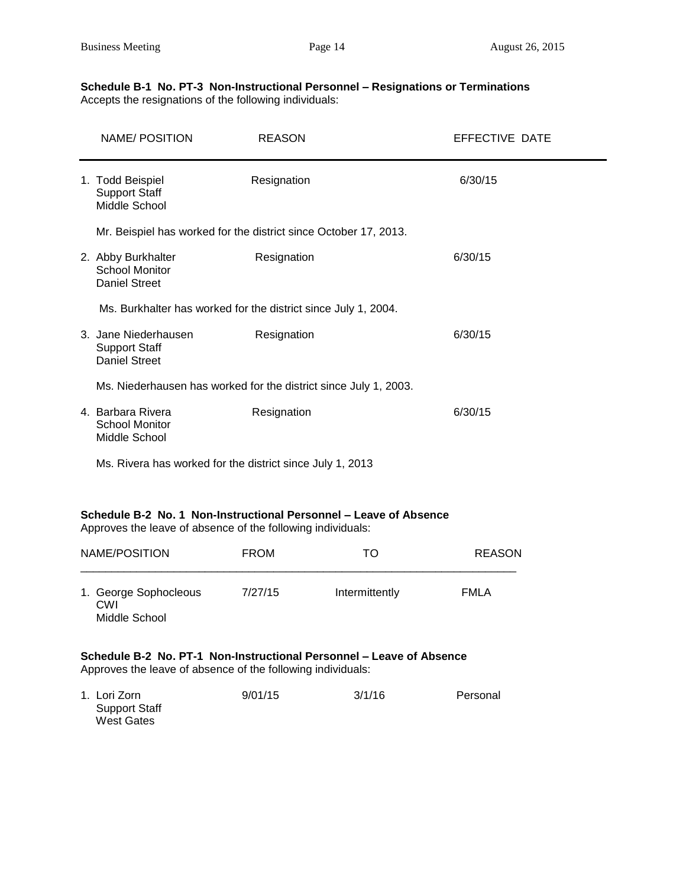#### **Schedule B-1 No. PT-3 Non-Instructional Personnel – Resignations or Terminations** Accepts the resignations of the following individuals:

|                                                                  | NAME/ POSITION                                                                                                                      | <b>REASON</b> |                | EFFECTIVE DATE |  |
|------------------------------------------------------------------|-------------------------------------------------------------------------------------------------------------------------------------|---------------|----------------|----------------|--|
|                                                                  | 1. Todd Beispiel<br><b>Support Staff</b><br>Middle School                                                                           | Resignation   |                | 6/30/15        |  |
|                                                                  | Mr. Beispiel has worked for the district since October 17, 2013.                                                                    |               |                |                |  |
|                                                                  | 2. Abby Burkhalter<br><b>School Monitor</b><br><b>Daniel Street</b>                                                                 | Resignation   |                | 6/30/15        |  |
|                                                                  | Ms. Burkhalter has worked for the district since July 1, 2004.                                                                      |               |                |                |  |
|                                                                  | 3. Jane Niederhausen<br><b>Support Staff</b><br><b>Daniel Street</b>                                                                | Resignation   |                | 6/30/15        |  |
| Ms. Niederhausen has worked for the district since July 1, 2003. |                                                                                                                                     |               |                |                |  |
|                                                                  | 4. Barbara Rivera<br><b>School Monitor</b><br>Middle School                                                                         | Resignation   |                | 6/30/15        |  |
|                                                                  | Ms. Rivera has worked for the district since July 1, 2013                                                                           |               |                |                |  |
|                                                                  | Schedule B-2 No. 1 Non-Instructional Personnel - Leave of Absence<br>Approves the leave of absence of the following individuals:    |               |                |                |  |
|                                                                  | NAME/POSITION                                                                                                                       | <b>FROM</b>   | TO             | <b>REASON</b>  |  |
|                                                                  | 1. George Sophocleous<br>CWI<br>Middle School                                                                                       | 7/27/15       | Intermittently | <b>FMLA</b>    |  |
|                                                                  | Schedule B-2 No. PT-1 Non-Instructional Personnel - Leave of Absence<br>Approves the leave of absence of the following individuals: |               |                |                |  |
|                                                                  | 1. Lori Zorn<br><b>Support Staff</b><br><b>West Gates</b>                                                                           | 9/01/15       | 3/1/16         | Personal       |  |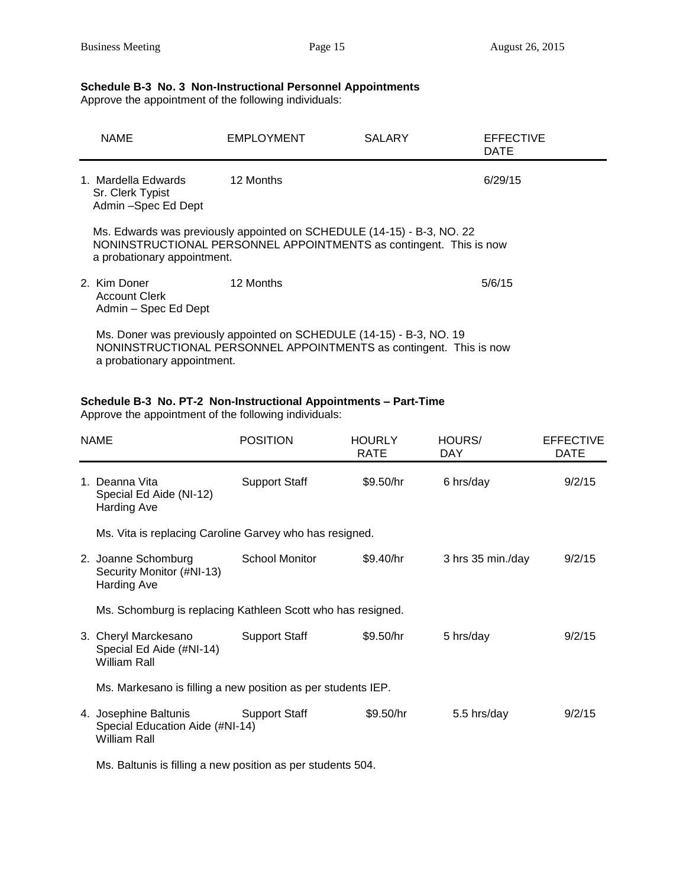## **Schedule B-3 No. 3 Non-Instructional Personnel Appointments**

Approve the appointment of the following individuals:

|                                                                                                                                                                             | <b>NAME</b>                                                    | EMPLOYMENT | <b>SALARY</b> | EFFECTIVE<br><b>DATE</b> |
|-----------------------------------------------------------------------------------------------------------------------------------------------------------------------------|----------------------------------------------------------------|------------|---------------|--------------------------|
|                                                                                                                                                                             | 1. Mardella Edwards<br>Sr. Clerk Typist<br>Admin -Spec Ed Dept | 12 Months  |               | 6/29/15                  |
| Ms. Edwards was previously appointed on SCHEDULE (14-15) - B-3, NO. 22<br>NONINSTRUCTIONAL PERSONNEL APPOINTMENTS as contingent. This is now<br>a probationary appointment. |                                                                |            |               |                          |
|                                                                                                                                                                             | 2. Kim Doner<br><b>Account Clerk</b><br>Admin – Spec Ed Dept   | 12 Months  |               | 5/6/15                   |
| Ms. Doner was previously appointed on SCHEDULE (14-15) - B-3, NO. 19<br>NONINSTRUCTIONAL PERSONNEL APPOINTMENTS as contingent. This is now<br>a probationary appointment.   |                                                                |            |               |                          |

## **Schedule B-3 No. PT-2 Non-Instructional Appointments – Part-Time**

Approve the appointment of the following individuals:

| <b>NAME</b>                                                              | <b>POSITION</b>      | <b>HOURLY</b><br><b>RATE</b> | HOURS/<br>DAY.    | <b>EFFECTIVE</b><br><b>DATE</b> |
|--------------------------------------------------------------------------|----------------------|------------------------------|-------------------|---------------------------------|
| 1. Deanna Vita<br>Special Ed Aide (NI-12)<br>Harding Ave                 | <b>Support Staff</b> | \$9.50/hr                    | 6 hrs/day         | 9/2/15                          |
| Ms. Vita is replacing Caroline Garvey who has resigned.                  |                      |                              |                   |                                 |
| 2. Joanne Schomburg<br>Security Monitor (#NI-13)<br><b>Harding Ave</b>   | School Monitor       | \$9.40/hr                    | 3 hrs 35 min./day | 9/2/15                          |
| Ms. Schomburg is replacing Kathleen Scott who has resigned.              |                      |                              |                   |                                 |
| 3. Cheryl Marckesano<br>Special Ed Aide (#NI-14)<br>William Rall         | <b>Support Staff</b> | \$9.50/hr                    | 5 hrs/day         | 9/2/15                          |
| Ms. Markesano is filling a new position as per students IEP.             |                      |                              |                   |                                 |
| 4. Josephine Baltunis<br>Special Education Aide (#NI-14)<br>William Rall | Support Staff        | \$9.50/hr                    | 5.5 hrs/day       | 9/2/15                          |

Ms. Baltunis is filling a new position as per students 504.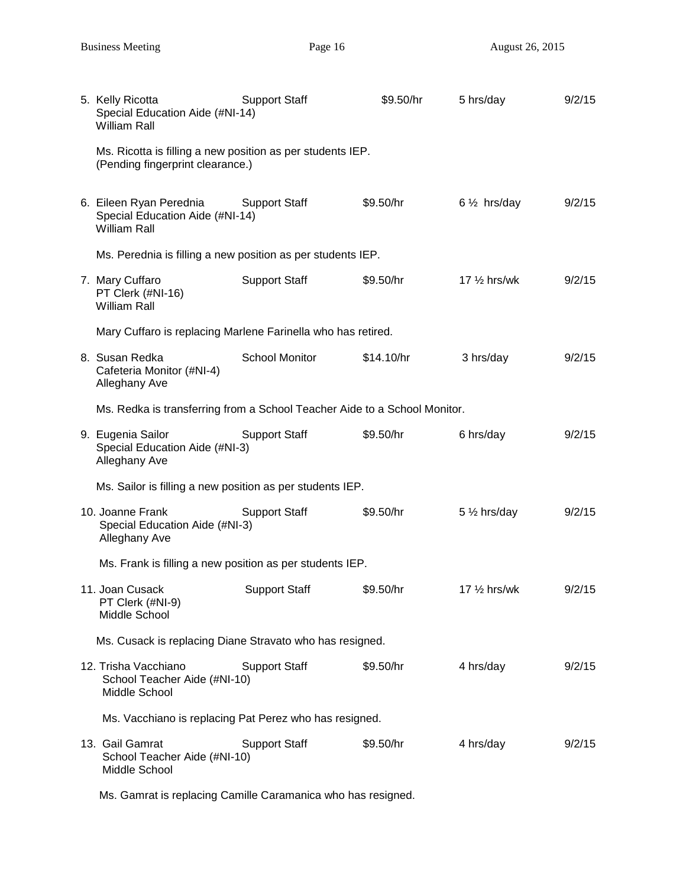| 5. Kelly Ricotta<br>Special Education Aide (#NI-14)<br><b>William Rall</b>                     | <b>Support Staff</b> | \$9.50/hr  | 5 hrs/day               | 9/2/15 |
|------------------------------------------------------------------------------------------------|----------------------|------------|-------------------------|--------|
| Ms. Ricotta is filling a new position as per students IEP.<br>(Pending fingerprint clearance.) |                      |            |                         |        |
| 6. Eileen Ryan Perednia<br>Special Education Aide (#NI-14)<br><b>William Rall</b>              | <b>Support Staff</b> | \$9.50/hr  | $6\frac{1}{2}$ hrs/day  | 9/2/15 |
| Ms. Perednia is filling a new position as per students IEP.                                    |                      |            |                         |        |
| 7. Mary Cuffaro<br>PT Clerk (#NI-16)<br><b>William Rall</b>                                    | <b>Support Staff</b> | \$9.50/hr  | 17 $\frac{1}{2}$ hrs/wk | 9/2/15 |
| Mary Cuffaro is replacing Marlene Farinella who has retired.                                   |                      |            |                         |        |
| 8. Susan Redka<br>Cafeteria Monitor (#NI-4)<br>Alleghany Ave                                   | School Monitor       | \$14.10/hr | 3 hrs/day               | 9/2/15 |
| Ms. Redka is transferring from a School Teacher Aide to a School Monitor.                      |                      |            |                         |        |
| 9. Eugenia Sailor<br>Special Education Aide (#NI-3)<br>Alleghany Ave                           | <b>Support Staff</b> | \$9.50/hr  | 6 hrs/day               | 9/2/15 |
| Ms. Sailor is filling a new position as per students IEP.                                      |                      |            |                         |        |
| 10. Joanne Frank<br>Special Education Aide (#NI-3)<br>Alleghany Ave                            | <b>Support Staff</b> | \$9.50/hr  | 5 $\frac{1}{2}$ hrs/day | 9/2/15 |
| Ms. Frank is filling a new position as per students IEP.                                       |                      |            |                         |        |
| 11. Joan Cusack<br>PT Clerk (#NI-9)<br>Middle School                                           | <b>Support Staff</b> | \$9.50/hr  | 17 $\frac{1}{2}$ hrs/wk | 9/2/15 |
| Ms. Cusack is replacing Diane Stravato who has resigned.                                       |                      |            |                         |        |
| 12. Trisha Vacchiano<br>School Teacher Aide (#NI-10)<br>Middle School                          | <b>Support Staff</b> | \$9.50/hr  | 4 hrs/day               | 9/2/15 |
| Ms. Vacchiano is replacing Pat Perez who has resigned.                                         |                      |            |                         |        |
| 13. Gail Gamrat<br>School Teacher Aide (#NI-10)<br>Middle School                               | <b>Support Staff</b> | \$9.50/hr  | 4 hrs/day               | 9/2/15 |

Ms. Gamrat is replacing Camille Caramanica who has resigned.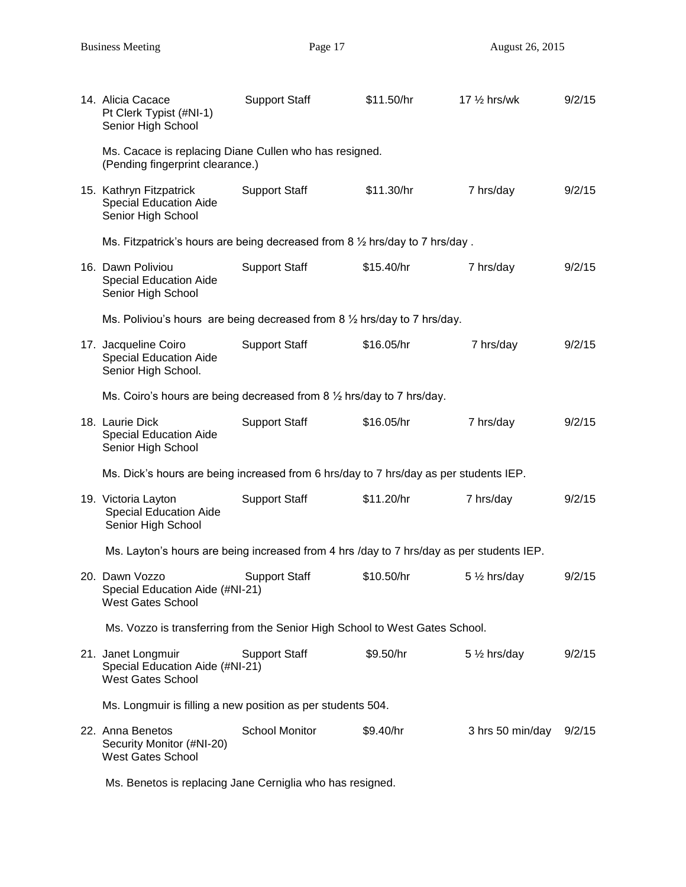| 14. Alicia Cacace<br>Pt Clerk Typist (#NI-1)<br>Senior High School                         | <b>Support Staff</b>  | \$11.50/hr | $17\frac{1}{2}$ hrs/wk | 9/2/15 |
|--------------------------------------------------------------------------------------------|-----------------------|------------|------------------------|--------|
| Ms. Cacace is replacing Diane Cullen who has resigned.<br>(Pending fingerprint clearance.) |                       |            |                        |        |
| 15. Kathryn Fitzpatrick<br><b>Special Education Aide</b><br>Senior High School             | <b>Support Staff</b>  | \$11.30/hr | 7 hrs/day              | 9/2/15 |
| Ms. Fitzpatrick's hours are being decreased from 8 1/2 hrs/day to 7 hrs/day.               |                       |            |                        |        |
| 16. Dawn Poliviou<br><b>Special Education Aide</b><br>Senior High School                   | <b>Support Staff</b>  | \$15.40/hr | 7 hrs/day              | 9/2/15 |
| Ms. Poliviou's hours are being decreased from 8 1/2 hrs/day to 7 hrs/day.                  |                       |            |                        |        |
| 17. Jacqueline Coiro<br><b>Special Education Aide</b><br>Senior High School.               | <b>Support Staff</b>  | \$16.05/hr | 7 hrs/day              | 9/2/15 |
| Ms. Coiro's hours are being decreased from $8\frac{1}{2}$ hrs/day to 7 hrs/day.            |                       |            |                        |        |
| 18. Laurie Dick<br><b>Special Education Aide</b><br>Senior High School                     | <b>Support Staff</b>  | \$16.05/hr | 7 hrs/day              | 9/2/15 |
| Ms. Dick's hours are being increased from 6 hrs/day to 7 hrs/day as per students IEP.      |                       |            |                        |        |
| 19. Victoria Layton<br><b>Special Education Aide</b><br>Senior High School                 | <b>Support Staff</b>  | \$11.20/hr | 7 hrs/day              | 9/2/15 |
| Ms. Layton's hours are being increased from 4 hrs /day to 7 hrs/day as per students IEP.   |                       |            |                        |        |
| 20. Dawn Vozzo<br>Special Education Aide (#NI-21)<br><b>West Gates School</b>              | <b>Support Staff</b>  | \$10.50/hr | 5 1/2 hrs/day          | 9/2/15 |
| Ms. Vozzo is transferring from the Senior High School to West Gates School.                |                       |            |                        |        |
| 21. Janet Longmuir<br>Special Education Aide (#NI-21)<br><b>West Gates School</b>          | <b>Support Staff</b>  | \$9.50/hr  | $5\frac{1}{2}$ hrs/day | 9/2/15 |
| Ms. Longmuir is filling a new position as per students 504.                                |                       |            |                        |        |
| 22. Anna Benetos<br>Security Monitor (#NI-20)<br><b>West Gates School</b>                  | <b>School Monitor</b> | \$9.40/hr  | 3 hrs 50 min/day       | 9/2/15 |

Ms. Benetos is replacing Jane Cerniglia who has resigned.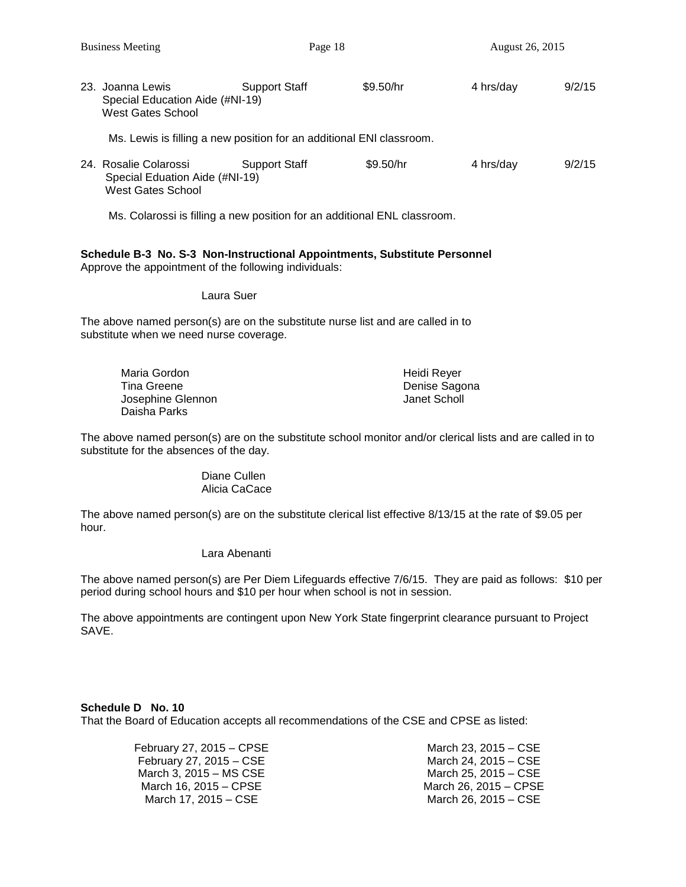Ms. Colarossi is filling a new position for an additional ENL classroom.

#### **Schedule B-3 No. S-3 Non-Instructional Appointments, Substitute Personnel** Approve the appointment of the following individuals:

Laura Suer

West Gates School

The above named person(s) are on the substitute nurse list and are called in to substitute when we need nurse coverage.

| Maria Gordon      | Heidi Rever   |
|-------------------|---------------|
| Tina Greene       | Denise Sagona |
| Josephine Glennon | Janet Scholl  |
| Daisha Parks      |               |

The above named person(s) are on the substitute school monitor and/or clerical lists and are called in to substitute for the absences of the day.

#### Diane Cullen Alicia CaCace

The above named person(s) are on the substitute clerical list effective 8/13/15 at the rate of \$9.05 per hour.

Lara Abenanti

The above named person(s) are Per Diem Lifeguards effective 7/6/15. They are paid as follows: \$10 per period during school hours and \$10 per hour when school is not in session.

The above appointments are contingent upon New York State fingerprint clearance pursuant to Project SAVE.

### **Schedule D No. 10**

That the Board of Education accepts all recommendations of the CSE and CPSE as listed:

| February 27, 2015 – CPSE | March 23, 2015 – CSE  |
|--------------------------|-----------------------|
| February 27, 2015 - CSE  | March 24, 2015 – CSE  |
| March 3, 2015 – MS CSE   | March 25, 2015 – CSE  |
| March 16, 2015 – CPSE    | March 26, 2015 - CPSE |
| March 17, 2015 – CSE     | March 26, 2015 – CSE  |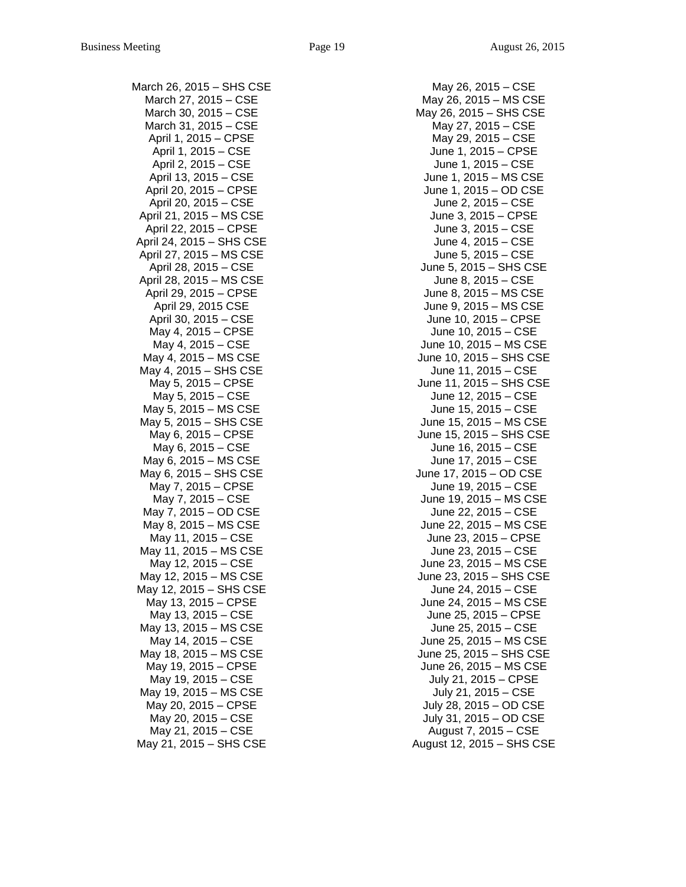March 26, 2015 – SHS CSE March 27, 2015 – CSE March 30, 2015 – CSE March 31, 2015 – CSE April 1, 2015 – CPSE April 1, 2015 – CSE April 2, 2015 – CSE April 13, 2015 – CSE April 20, 2015 – CPSE April 20, 2015 – CSE April 21, 2015 – MS CSE April 22, 2015 – CPSE April 24, 2015 – SHS CSE April 27, 2015 – MS CSE April 28, 2015 – CSE April 28, 2015 – MS CSE April 29, 2015 – CPSE April 29, 2015 CSE April 30, 2015 – CSE May 4, 2015 – CPSE May 4, 2015 – CSE May 4, 2015 – MS CSE May 4, 2015 – SHS CSE May 5, 2015 – CPSE May 5, 2015 – CSE May 5, 2015 – MS CSE May 5, 2015 – SHS CSE May 6, 2015 – CPSE May 6, 2015 – CSE May 6, 2015 – MS CSE May 6, 2015 – SHS CSE May 7, 2015 – CPSE May 7, 2015 – CSE May 7, 2015 – OD CSE May 8, 2015 – MS CSE May 11, 2015 – CSE May 11, 2015 – MS CSE May 12, 2015 – CSE May 12, 2015 – MS CSE May 12, 2015 – SHS CSE May 13, 2015 – CPSE May 13, 2015 – CSE May 13, 2015 – MS CSE May 14, 2015 – CSE May 18, 2015 – MS CSE May 19, 2015 – CPSE May 19, 2015 – CSE May 19, 2015 – MS CSE May 20, 2015 – CPSE May 20, 2015 – CSE May 21, 2015 – CSE May 21, 2015 – SHS CSE

May 26, 2015 – CSE May 26, 2015 – MS CSE May 26, 2015 – SHS CSE May 27, 2015 – CSE May 29, 2015 – CSE June 1, 2015 – CPSE June 1, 2015 – CSE June 1, 2015 – MS CSE June 1, 2015 – OD CSE June 2, 2015 – CSE June 3, 2015 – CPSE June 3, 2015 – CSE June 4, 2015 – CSE June 5, 2015 – CSE June 5, 2015 – SHS CSE June 8, 2015 – CSE June 8, 2015 – MS CSE June 9, 2015 – MS CSE June 10, 2015 – CPSE June 10, 2015 – CSE June 10, 2015 – MS CSE June 10, 2015 – SHS CSE June 11, 2015 – CSE June 11, 2015 – SHS CSE June 12, 2015 – CSE June 15, 2015 – CSE June 15, 2015 – MS CSE June 15, 2015 – SHS CSE June 16, 2015 – CSE June 17, 2015 – CSE June 17, 2015 – OD CSE June 19, 2015 – CSE June 19, 2015 – MS CSE June 22, 2015 – CSE June 22, 2015 – MS CSE June 23, 2015 – CPSE June 23, 2015 – CSE June 23, 2015 – MS CSE June 23, 2015 – SHS CSE June 24, 2015 – CSE June 24, 2015 – MS CSE June 25, 2015 – CPSE June 25, 2015 – CSE June 25, 2015 – MS CSE June 25, 2015 – SHS CSE June 26, 2015 – MS CSE July 21, 2015 – CPSE July 21, 2015 – CSE July 28, 2015 – OD CSE July 31, 2015 – OD CSE August 7, 2015 – CSE August 12, 2015 – SHS CSE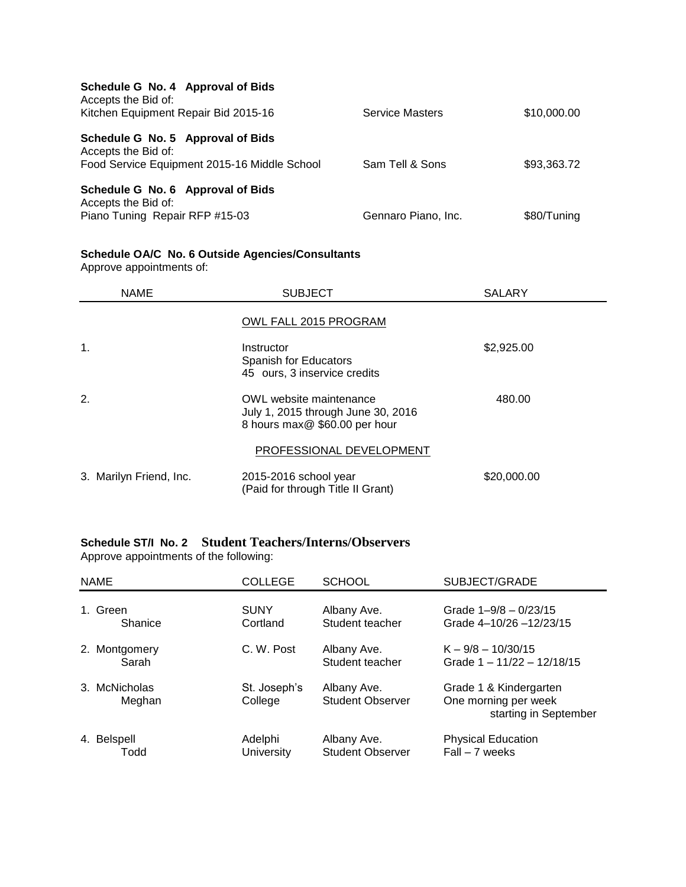| Schedule G No. 4 Approval of Bids<br>Accepts the Bid of: |                        |             |
|----------------------------------------------------------|------------------------|-------------|
| Kitchen Equipment Repair Bid 2015-16                     | <b>Service Masters</b> | \$10,000.00 |
| Schedule G No. 5 Approval of Bids<br>Accepts the Bid of: |                        |             |
| Food Service Equipment 2015-16 Middle School             | Sam Tell & Sons        | \$93,363.72 |
| Schedule G No. 6 Approval of Bids<br>Accepts the Bid of: |                        |             |
| Piano Tuning Repair RFP #15-03                           | Gennaro Piano, Inc.    | \$80/Tuning |

#### **Schedule OA/C No. 6 Outside Agencies/Consultants**

Approve appointments of:

| <b>NAME</b>             | <b>SUBJECT</b>                                                                                 | <b>SALARY</b> |
|-------------------------|------------------------------------------------------------------------------------------------|---------------|
|                         | OWL FALL 2015 PROGRAM                                                                          |               |
| 1.                      | Instructor<br>Spanish for Educators<br>45 ours, 3 inservice credits                            | \$2,925.00    |
| 2.                      | OWL website maintenance<br>July 1, 2015 through June 30, 2016<br>8 hours max@ \$60.00 per hour | 480.00        |
|                         | PROFESSIONAL DEVELOPMENT                                                                       |               |
| 3. Marilyn Friend, Inc. | 2015-2016 school year<br>(Paid for through Title II Grant)                                     | \$20,000.00   |

## **Schedule ST/I No. 2 Student Teachers/Interns/Observers**

Approve appointments of the following:

| <b>NAME</b> |                         | <b>COLLEGE</b>          | <b>SCHOOL</b>                          | SUBJECT/GRADE                                                           |
|-------------|-------------------------|-------------------------|----------------------------------------|-------------------------------------------------------------------------|
|             | 1. Green<br>Shanice     | <b>SUNY</b><br>Cortland | Albany Ave.<br>Student teacher         | Grade $1 - 9/8 - 0/23/15$<br>Grade 4-10/26-12/23/15                     |
|             | 2. Montgomery<br>Sarah  | C. W. Post              | Albany Ave.<br>Student teacher         | $K - 9/8 - 10/30/15$<br>Grade 1 - 11/22 - 12/18/15                      |
|             | 3. McNicholas<br>Meghan | St. Joseph's<br>College | Albany Ave.<br><b>Student Observer</b> | Grade 1 & Kindergarten<br>One morning per week<br>starting in September |
|             | 4. Belspell<br>Todd     | Adelphi<br>University   | Albany Ave.<br><b>Student Observer</b> | <b>Physical Education</b><br>Fall - 7 weeks                             |